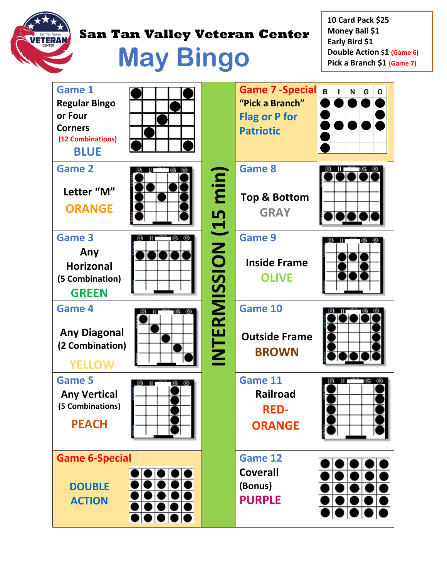

## **ERAN** San Tan Valley Veteran Center

**May Bingo**

**10 Card Pack \$25 Money Ball \$1 Early Bird \$1 Double Action \$1 (Game 6) Pick a Branch \$1 (Game 7)**